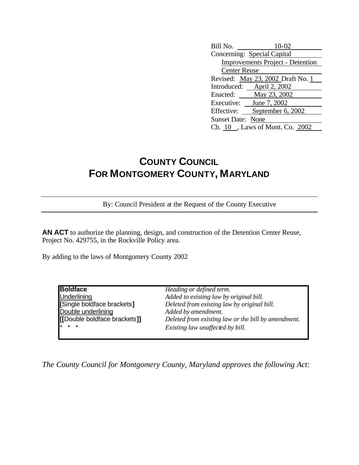| Bill No.<br>$10-02$                     |  |  |  |
|-----------------------------------------|--|--|--|
| Concerning: Special Capital             |  |  |  |
| <b>Improvements Project - Detention</b> |  |  |  |
| <b>Center Reuse</b>                     |  |  |  |
| Revised: May 23, 2002 Draft No. 1       |  |  |  |
| Introduced: April 2, 2002               |  |  |  |
| Enacted: May 23, 2002                   |  |  |  |
| June 7, 2002<br>Executive:              |  |  |  |
| September 6, 2002<br>Effective:         |  |  |  |
| <b>Sunset Date: None</b>                |  |  |  |
| Ch. 10, Laws of Mont. Co. 2002          |  |  |  |

## **COUNTY COUNCIL FOR MONTGOMERY COUNTY, MARYLAND**

By: Council President at the Request of the County Executive

**AN ACT** to authorize the planning, design, and construction of the Detention Center Reuse, Project No. 429755, in the Rockville Policy area.

By adding to the laws of Montgomery County 2002

| <b>Boldface</b>              | Heading or defined term.                            |
|------------------------------|-----------------------------------------------------|
| <b>Underlining</b>           | Added to existing law by original bill.             |
| [Single boldface brackets]   | Deleted from existing law by original bill.         |
| Double underlining           | Added by amendment.                                 |
| [[Double boldface brackets]] | Deleted from existing law or the bill by amendment. |
| $* * *$                      | Existing law unaffected by bill.                    |
|                              |                                                     |

*The County Council for Montgomery County, Maryland approves the following Act:*